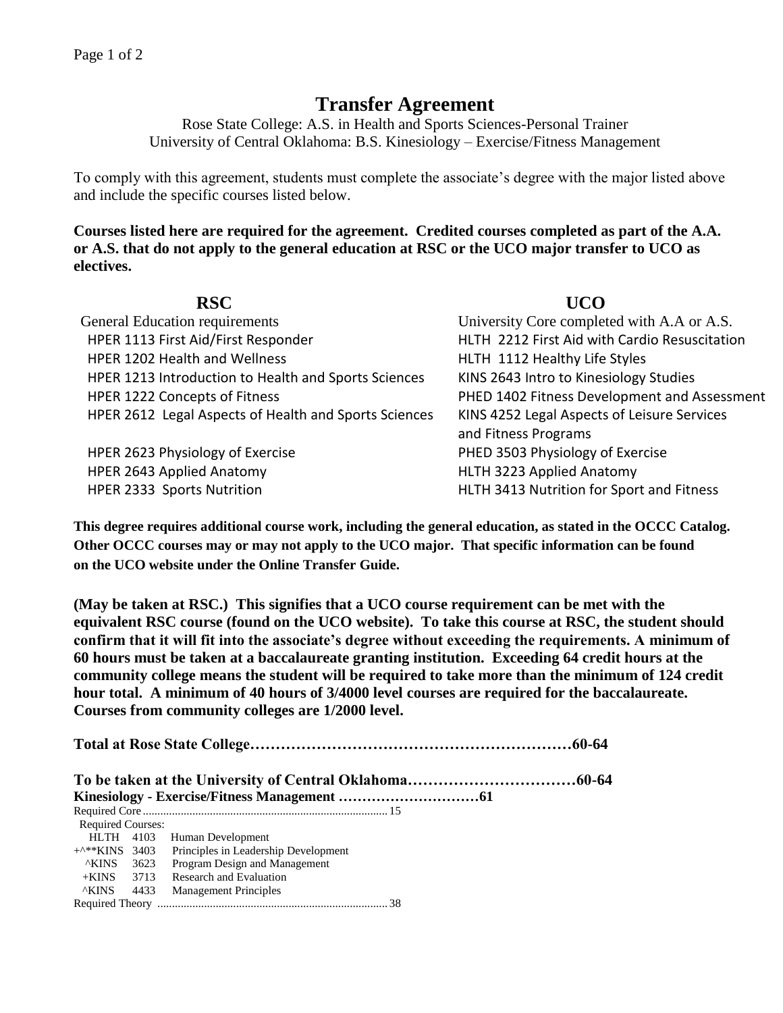## **Transfer Agreement**

Rose State College: A.S. in Health and Sports Sciences-Personal Trainer University of Central Oklahoma: B.S. Kinesiology – Exercise/Fitness Management

To comply with this agreement, students must complete the associate's degree with the major listed above and include the specific courses listed below.

**Courses listed here are required for the agreement. Credited courses completed as part of the A.A. or A.S. that do not apply to the general education at RSC or the UCO major transfer to UCO as electives.**

| <b>RSC</b>                                            | UCO                                           |
|-------------------------------------------------------|-----------------------------------------------|
| <b>General Education requirements</b>                 | University Core completed with A.A or A.S.    |
| HPER 1113 First Aid/First Responder                   | HLTH 2212 First Aid with Cardio Resuscitation |
| HPER 1202 Health and Wellness                         | HLTH 1112 Healthy Life Styles                 |
| HPER 1213 Introduction to Health and Sports Sciences  | KINS 2643 Intro to Kinesiology Studies        |
| HPER 1222 Concepts of Fitness                         | PHED 1402 Fitness Development and Assessment  |
| HPER 2612 Legal Aspects of Health and Sports Sciences | KINS 4252 Legal Aspects of Leisure Services   |
|                                                       | and Fitness Programs                          |
| HPER 2623 Physiology of Exercise                      | PHED 3503 Physiology of Exercise              |
| HPER 2643 Applied Anatomy                             | HLTH 3223 Applied Anatomy                     |
| HPER 2333 Sports Nutrition                            | HLTH 3413 Nutrition for Sport and Fitness     |

**This degree requires additional course work, including the general education, as stated in the OCCC Catalog. Other OCCC courses may or may not apply to the UCO major. That specific information can be found on the UCO website under the Online Transfer Guide.**

**(May be taken at RSC.) This signifies that a UCO course requirement can be met with the equivalent RSC course (found on the UCO website). To take this course at RSC, the student should confirm that it will fit into the associate's degree without exceeding the requirements. A minimum of 60 hours must be taken at a baccalaureate granting institution. Exceeding 64 credit hours at the community college means the student will be required to take more than the minimum of 124 credit hour total. A minimum of 40 hours of 3/4000 level courses are required for the baccalaureate. Courses from community colleges are 1/2000 level.**

**Total at Rose State College………………………………………………………60-64**

**To be taken at the University of Central Oklahoma……………………………60-64 Kinesiology - Exercise/Fitness Management …………………………61** Required Core .................................................................................... 15 Required Courses: HLTH 4103 Human Development +^\*\*KINS 3403 Principles in Leadership Development ^KINS 3623 Program Design and Management +KINS 3713 Research and Evaluation ^KINS 4433 Management Principles Required Theory ............................................................................... 38